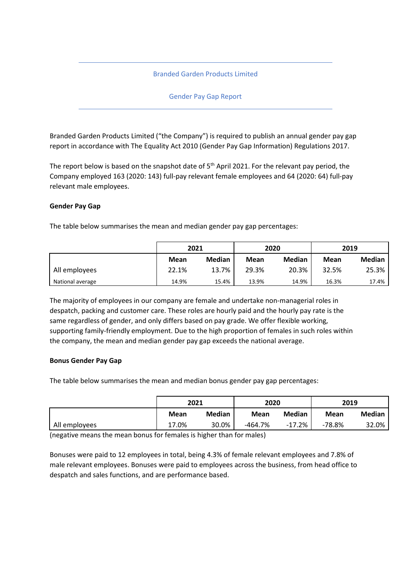# Branded Garden Products Limited

## Gender Pay Gap Report

Branded Garden Products Limited ("the Company") is required to publish an annual gender pay gap report in accordance with The Equality Act 2010 (Gender Pay Gap Information) Regulations 2017.

The report below is based on the snapshot date of  $5<sup>th</sup>$  April 2021. For the relevant pay period, the Company employed 163 (2020: 143) full-pay relevant female employees and 64 (2020: 64) full-pay relevant male employees.

### **Gender Pay Gap**

The table below summarises the mean and median gender pay gap percentages:

|                  | 2021  |               | 2020  |               | 2019  |               |
|------------------|-------|---------------|-------|---------------|-------|---------------|
|                  | Mean  | <b>Median</b> | Mean  | <b>Median</b> | Mean  | <b>Median</b> |
| All employees    | 22.1% | 13.7%         | 29.3% | 20.3%         | 32.5% | 25.3%         |
| National average | 14.9% | 15.4%         | 13.9% | 14.9%         | 16.3% | 17.4%         |

The majority of employees in our company are female and undertake non-managerial roles in despatch, packing and customer care. These roles are hourly paid and the hourly pay rate is the same regardless of gender, and only differs based on pay grade. We offer flexible working, supporting family-friendly employment. Due to the high proportion of females in such roles within the company, the mean and median gender pay gap exceeds the national average.

### **Bonus Gender Pay Gap**

The table below summarises the mean and median bonus gender pay gap percentages:

|               | 2021  |        | 2020        |          | 2019        |               |
|---------------|-------|--------|-------------|----------|-------------|---------------|
|               | Mean  | Median | <b>Mean</b> | Median   | <b>Mean</b> | <b>Median</b> |
| All employees | 17.0% | 30.0%  | $-464.7%$   | $-17.2%$ | $-78.8%$    | 32.0%         |

(negative means the mean bonus for females is higher than for males)

Bonuses were paid to 12 employees in total, being 4.3% of female relevant employees and 7.8% of male relevant employees. Bonuses were paid to employees across the business, from head office to despatch and sales functions, and are performance based.